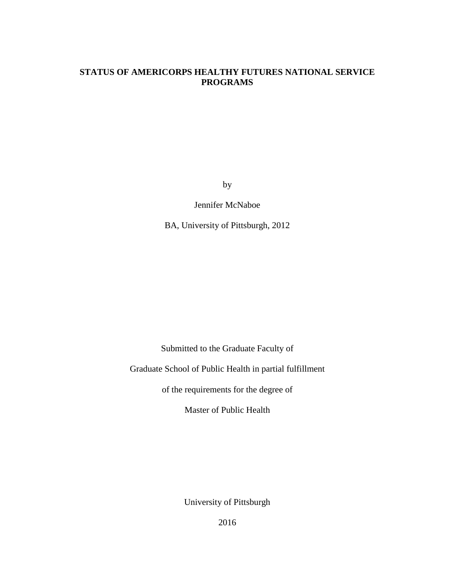# **STATUS OF AMERICORPS HEALTHY FUTURES NATIONAL SERVICE PROGRAMS**

by

Jennifer McNaboe

BA, University of Pittsburgh, 2012

Submitted to the Graduate Faculty of

Graduate School of Public Health in partial fulfillment

of the requirements for the degree of

Master of Public Health

University of Pittsburgh

2016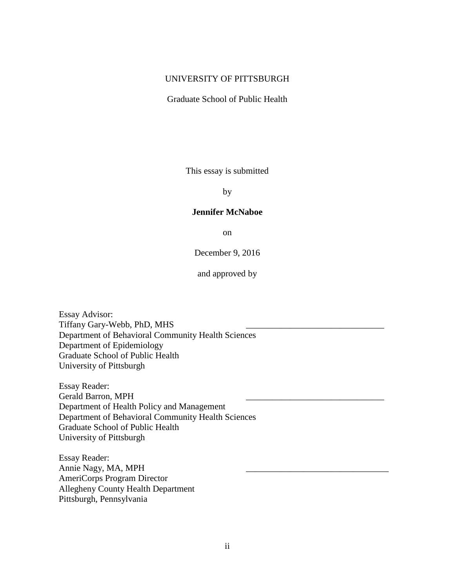# UNIVERSITY OF PITTSBURGH

Graduate School of Public Health

This essay is submitted

by

#### **Jennifer McNaboe**

on

December 9, 2016

and approved by

Essay Advisor: Tiffany Gary-Webb, PhD, MHS Department of Behavioral Community Health Sciences Department of Epidemiology Graduate School of Public Health University of Pittsburgh

Essay Reader: Gerald Barron, MPH Department of Health Policy and Management Department of Behavioral Community Health Sciences Graduate School of Public Health University of Pittsburgh

Essay Reader: Annie Nagy, MA, MPH AmeriCorps Program Director Allegheny County Health Department Pittsburgh, Pennsylvania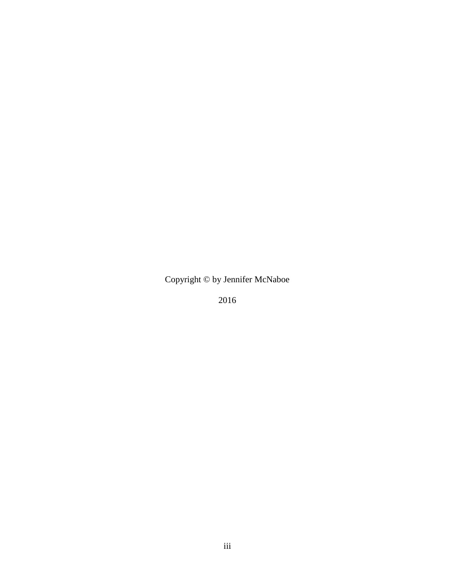Copyright © by Jennifer McNaboe

2016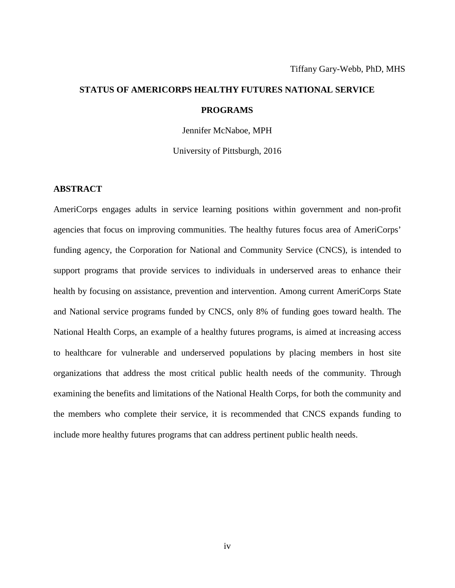# **STATUS OF AMERICORPS HEALTHY FUTURES NATIONAL SERVICE PROGRAMS**

Jennifer McNaboe, MPH

University of Pittsburgh, 2016

#### **ABSTRACT**

AmeriCorps engages adults in service learning positions within government and non-profit agencies that focus on improving communities. The healthy futures focus area of AmeriCorps' funding agency, the Corporation for National and Community Service (CNCS), is intended to support programs that provide services to individuals in underserved areas to enhance their health by focusing on assistance, prevention and intervention. Among current AmeriCorps State and National service programs funded by CNCS, only 8% of funding goes toward health. The National Health Corps, an example of a healthy futures programs, is aimed at increasing access to healthcare for vulnerable and underserved populations by placing members in host site organizations that address the most critical public health needs of the community. Through examining the benefits and limitations of the National Health Corps, for both the community and the members who complete their service, it is recommended that CNCS expands funding to include more healthy futures programs that can address pertinent public health needs.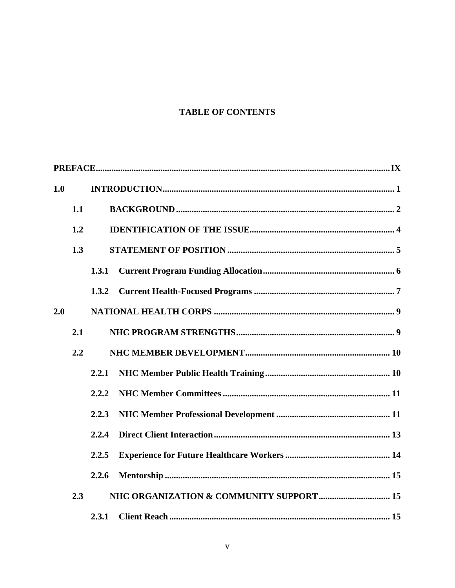# **TABLE OF CONTENTS**

| 1.0 |     |       |  |
|-----|-----|-------|--|
|     | 1.1 |       |  |
|     | 1.2 |       |  |
|     | 1.3 |       |  |
|     |     | 1.3.1 |  |
|     |     | 1.3.2 |  |
| 2.0 |     |       |  |
|     | 2.1 |       |  |
|     | 2.2 |       |  |
|     |     | 2.2.1 |  |
|     |     | 2.2.2 |  |
|     |     | 2.2.3 |  |
|     |     | 2.2.4 |  |
|     |     | 2.2.5 |  |
|     |     | 2.2.6 |  |
|     | 2.3 |       |  |
|     |     | 2.3.1 |  |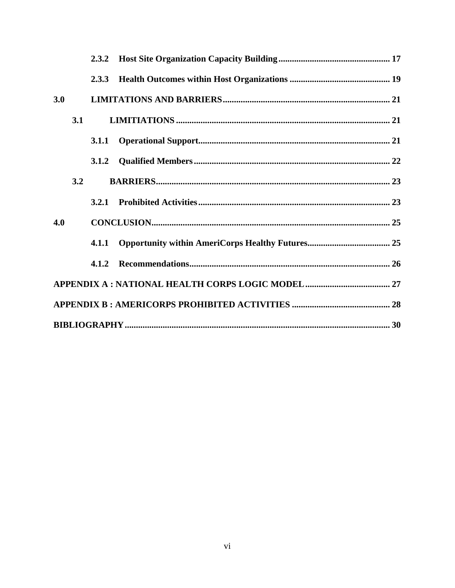|     |     | 2.3.3 |  |
|-----|-----|-------|--|
| 3.0 |     |       |  |
|     | 3.1 |       |  |
|     |     | 3.1.1 |  |
|     |     |       |  |
|     | 3.2 |       |  |
|     |     |       |  |
| 4.0 |     |       |  |
|     |     |       |  |
|     |     | 4.1.2 |  |
|     |     |       |  |
|     |     |       |  |
|     |     |       |  |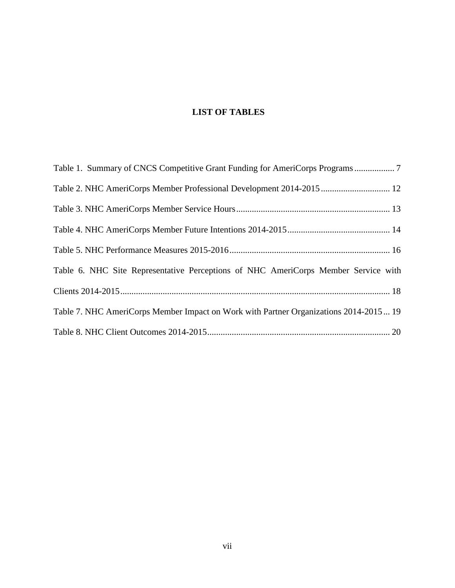# **LIST OF TABLES**

| Table 2. NHC AmeriCorps Member Professional Development 2014-2015  12                 |
|---------------------------------------------------------------------------------------|
|                                                                                       |
|                                                                                       |
|                                                                                       |
| Table 6. NHC Site Representative Perceptions of NHC AmeriCorps Member Service with    |
|                                                                                       |
| Table 7. NHC AmeriCorps Member Impact on Work with Partner Organizations 2014-2015 19 |
|                                                                                       |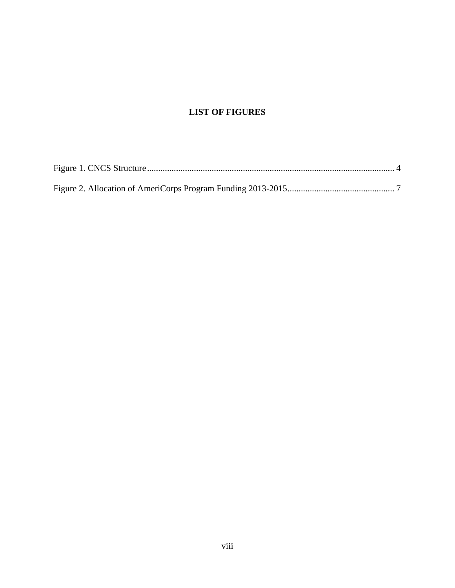# **LIST OF FIGURES**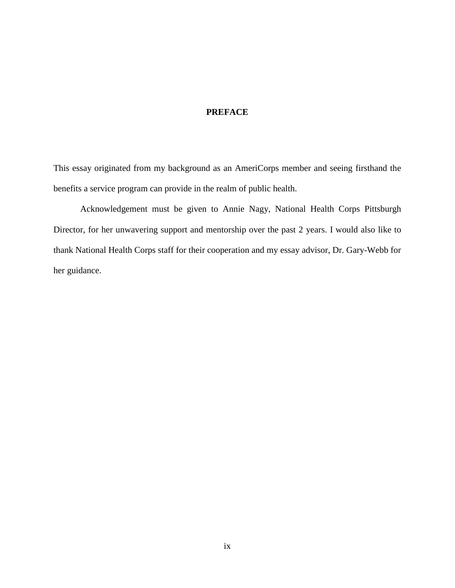# <span id="page-8-0"></span>**PREFACE**

This essay originated from my background as an AmeriCorps member and seeing firsthand the benefits a service program can provide in the realm of public health.

Acknowledgement must be given to Annie Nagy, National Health Corps Pittsburgh Director, for her unwavering support and mentorship over the past 2 years. I would also like to thank National Health Corps staff for their cooperation and my essay advisor, Dr. Gary-Webb for her guidance.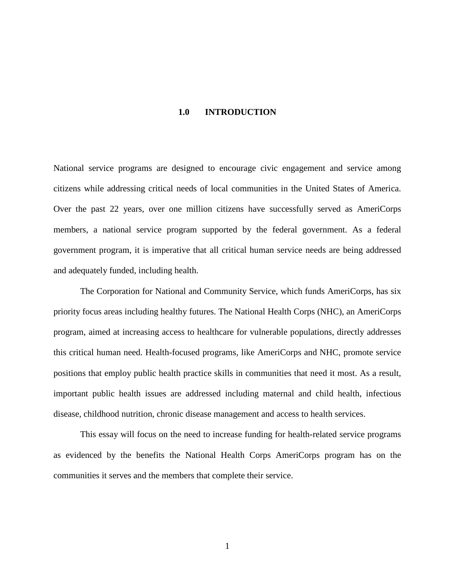#### **1.0 INTRODUCTION**

<span id="page-9-0"></span>National service programs are designed to encourage civic engagement and service among citizens while addressing critical needs of local communities in the United States of America. Over the past 22 years, over one million citizens have successfully served as AmeriCorps members, a national service program supported by the federal government. As a federal government program, it is imperative that all critical human service needs are being addressed and adequately funded, including health.

The Corporation for National and Community Service, which funds AmeriCorps, has six priority focus areas including healthy futures. The National Health Corps (NHC), an AmeriCorps program, aimed at increasing access to healthcare for vulnerable populations, directly addresses this critical human need. Health-focused programs, like AmeriCorps and NHC, promote service positions that employ public health practice skills in communities that need it most. As a result, important public health issues are addressed including maternal and child health, infectious disease, childhood nutrition, chronic disease management and access to health services.

This essay will focus on the need to increase funding for health-related service programs as evidenced by the benefits the National Health Corps AmeriCorps program has on the communities it serves and the members that complete their service.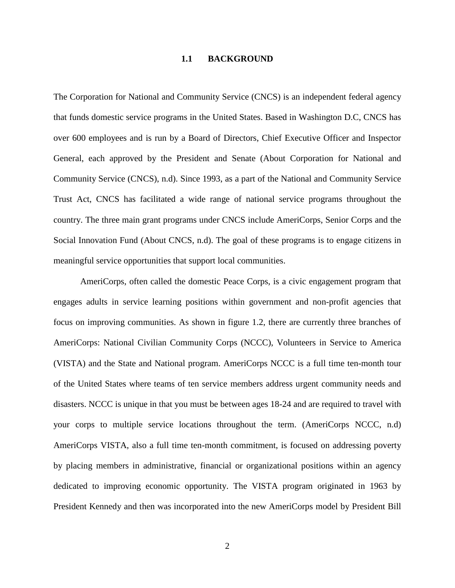#### **1.1 BACKGROUND**

<span id="page-10-0"></span>The Corporation for National and Community Service (CNCS) is an independent federal agency that funds domestic service programs in the United States. Based in Washington D.C, CNCS has over 600 employees and is run by a Board of Directors, Chief Executive Officer and Inspector General, each approved by the President and Senate (About Corporation for National and Community Service (CNCS), n.d). Since 1993, as a part of the National and Community Service Trust Act, CNCS has facilitated a wide range of national service programs throughout the country. The three main grant programs under CNCS include AmeriCorps, Senior Corps and the Social Innovation Fund (About CNCS, n.d). The goal of these programs is to engage citizens in meaningful service opportunities that support local communities.

AmeriCorps, often called the domestic Peace Corps, is a civic engagement program that engages adults in service learning positions within government and non-profit agencies that focus on improving communities. As shown in figure 1.2, there are currently three branches of AmeriCorps: National Civilian Community Corps (NCCC), Volunteers in Service to America (VISTA) and the State and National program. AmeriCorps NCCC is a full time ten-month tour of the United States where teams of ten service members address urgent community needs and disasters. NCCC is unique in that you must be between ages 18-24 and are required to travel with your corps to multiple service locations throughout the term. (AmeriCorps NCCC, n.d) AmeriCorps VISTA, also a full time ten-month commitment, is focused on addressing poverty by placing members in administrative, financial or organizational positions within an agency dedicated to improving economic opportunity. The VISTA program originated in 1963 by President Kennedy and then was incorporated into the new AmeriCorps model by President Bill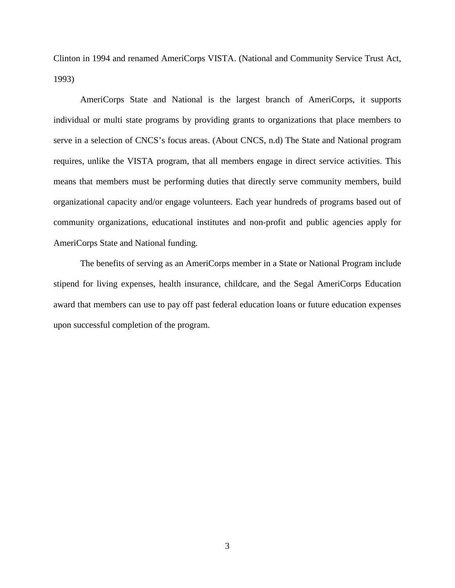Clinton in 1994 and renamed AmeriCorps VISTA. (National and Community Service Trust Act, 1993)

AmeriCorps State and National is the largest branch of AmeriCorps, it supports individual or multi state programs by providing grants to organizations that place members to serve in a selection of CNCS's focus areas. (About CNCS, n.d) The State and National program requires, unlike the VISTA program, that all members engage in direct service activities. This means that members must be performing duties that directly serve community members, build organizational capacity and/or engage volunteers. Each year hundreds of programs based out of community organizations, educational institutes and non-profit and public agencies apply for AmeriCorps State and National funding.

The benefits of serving as an AmeriCorps member in a State or National Program include stipend for living expenses, health insurance, childcare, and the Segal AmeriCorps Education award that members can use to pay off past federal education loans or future education expenses upon successful completion of the program.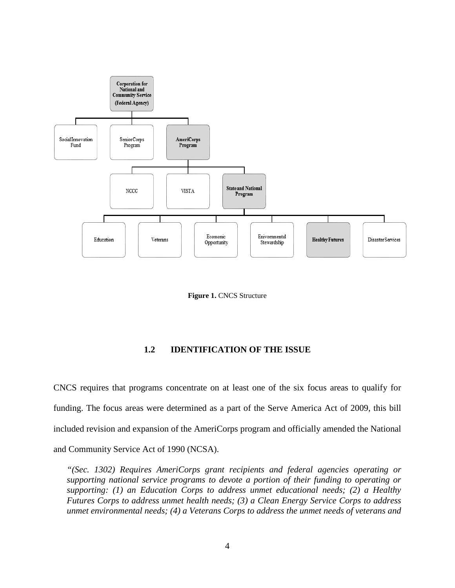

**Figure 1. CNCS Structure** 

#### **1.2 IDENTIFICATION OF THE ISSUE**

<span id="page-12-1"></span><span id="page-12-0"></span>CNCS requires that programs concentrate on at least one of the six focus areas to qualify for funding. The focus areas were determined as a part of the Serve America Act of 2009, this bill included revision and expansion of the AmeriCorps program and officially amended the National and Community Service Act of 1990 (NCSA).

*"(Sec. 1302) Requires AmeriCorps grant recipients and federal agencies operating or supporting national service programs to devote a portion of their funding to operating or supporting: (1) an Education Corps to address unmet educational needs; (2) a Healthy Futures Corps to address unmet health needs; (3) a Clean Energy Service Corps to address unmet environmental needs; (4) a Veterans Corps to address the unmet needs of veterans and*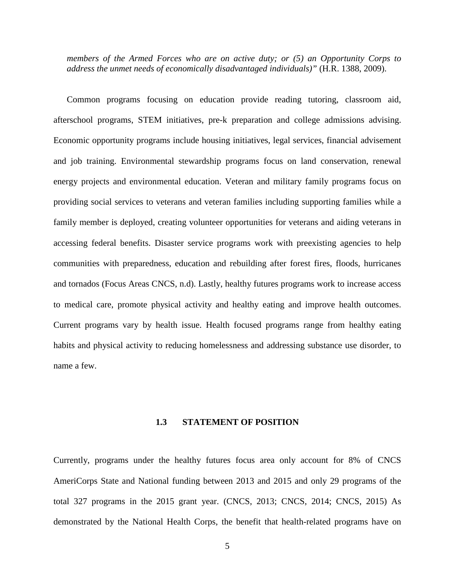*members of the Armed Forces who are on active duty; or (5) an Opportunity Corps to address the unmet needs of economically disadvantaged individuals)"* (H.R. 1388, 2009).

Common programs focusing on education provide reading tutoring, classroom aid, afterschool programs, STEM initiatives, pre-k preparation and college admissions advising. Economic opportunity programs include housing initiatives, legal services, financial advisement and job training. Environmental stewardship programs focus on land conservation, renewal energy projects and environmental education. Veteran and military family programs focus on providing social services to veterans and veteran families including supporting families while a family member is deployed, creating volunteer opportunities for veterans and aiding veterans in accessing federal benefits. Disaster service programs work with preexisting agencies to help communities with preparedness, education and rebuilding after forest fires, floods, hurricanes and tornados (Focus Areas CNCS, n.d). Lastly, healthy futures programs work to increase access to medical care, promote physical activity and healthy eating and improve health outcomes. Current programs vary by health issue. Health focused programs range from healthy eating habits and physical activity to reducing homelessness and addressing substance use disorder, to name a few.

#### **1.3 STATEMENT OF POSITION**

<span id="page-13-0"></span>Currently, programs under the healthy futures focus area only account for 8% of CNCS AmeriCorps State and National funding between 2013 and 2015 and only 29 programs of the total 327 programs in the 2015 grant year. (CNCS, 2013; CNCS, 2014; CNCS, 2015) As demonstrated by the National Health Corps, the benefit that health-related programs have on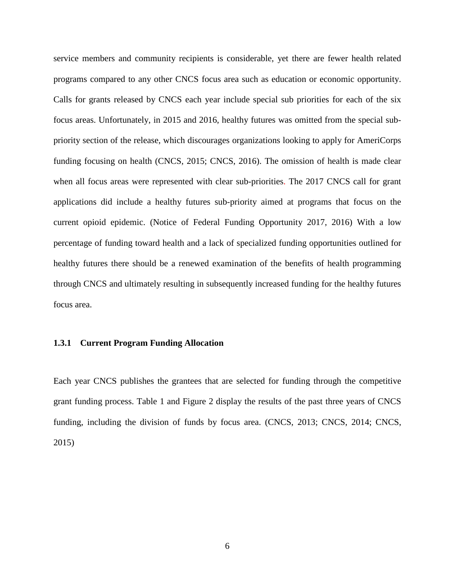service members and community recipients is considerable, yet there are fewer health related programs compared to any other CNCS focus area such as education or economic opportunity. Calls for grants released by CNCS each year include special sub priorities for each of the six focus areas. Unfortunately, in 2015 and 2016, healthy futures was omitted from the special subpriority section of the release, which discourages organizations looking to apply for AmeriCorps funding focusing on health (CNCS, 2015; CNCS, 2016). The omission of health is made clear when all focus areas were represented with clear sub-priorities. The 2017 CNCS call for grant applications did include a healthy futures sub-priority aimed at programs that focus on the current opioid epidemic. (Notice of Federal Funding Opportunity 2017, 2016) With a low percentage of funding toward health and a lack of specialized funding opportunities outlined for healthy futures there should be a renewed examination of the benefits of health programming through CNCS and ultimately resulting in subsequently increased funding for the healthy futures focus area.

#### <span id="page-14-0"></span>**1.3.1 Current Program Funding Allocation**

Each year CNCS publishes the grantees that are selected for funding through the competitive grant funding process. Table 1 and Figure 2 display the results of the past three years of CNCS funding, including the division of funds by focus area. (CNCS, 2013; CNCS, 2014; CNCS, 2015)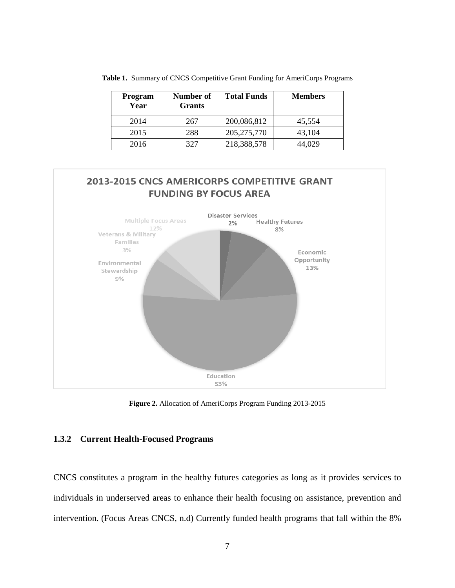| Program<br>Year | Number of<br><b>Grants</b> | <b>Total Funds</b> | <b>Members</b> |
|-----------------|----------------------------|--------------------|----------------|
| 2014            | 267                        | 200,086,812        | 45,554         |
| 2015            | 288                        | 205, 275, 770      | 43,104         |
| 2016            | 327                        | 218,388,578        | 44,029         |

<span id="page-15-1"></span>**Table 1.** Summary of CNCS Competitive Grant Funding for AmeriCorps Programs



**Figure 2.** Allocation of AmeriCorps Program Funding 2013-2015

#### <span id="page-15-2"></span><span id="page-15-0"></span>**1.3.2 Current Health-Focused Programs**

CNCS constitutes a program in the healthy futures categories as long as it provides services to individuals in underserved areas to enhance their health focusing on assistance, prevention and intervention. (Focus Areas CNCS, n.d) Currently funded health programs that fall within the 8%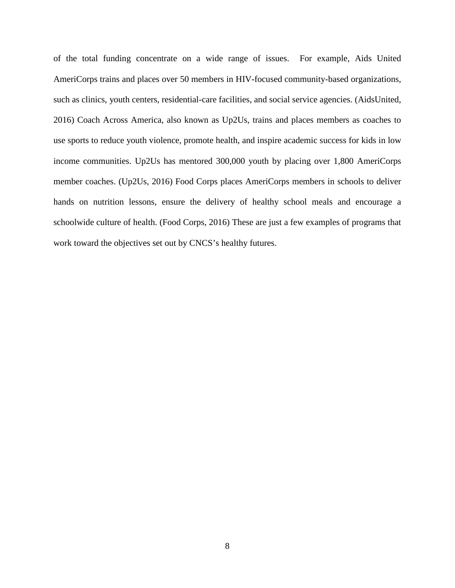of the total funding concentrate on a wide range of issues. For example, Aids United AmeriCorps trains and places over 50 members in HIV-focused community-based organizations, such as clinics, youth centers, residential-care facilities, and social service agencies. (AidsUnited, 2016) Coach Across America, also known as Up2Us, trains and places members as coaches to use sports to reduce youth violence, promote health, and inspire academic success for kids in low income communities. Up2Us has mentored 300,000 youth by placing over 1,800 AmeriCorps member coaches. (Up2Us, 2016) Food Corps places AmeriCorps members in schools to deliver hands on nutrition lessons, ensure the delivery of healthy school meals and encourage a schoolwide culture of health. (Food Corps, 2016) These are just a few examples of programs that work toward the objectives set out by CNCS's healthy futures.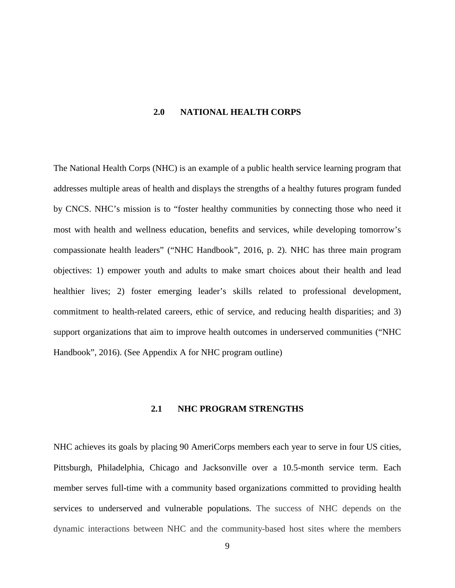#### **2.0 NATIONAL HEALTH CORPS**

<span id="page-17-0"></span>The National Health Corps (NHC) is an example of a public health service learning program that addresses multiple areas of health and displays the strengths of a healthy futures program funded by CNCS. NHC's mission is to "foster healthy communities by connecting those who need it most with health and wellness education, benefits and services, while developing tomorrow's compassionate health leaders" ("NHC Handbook", 2016, p. 2). NHC has three main program objectives: 1) empower youth and adults to make smart choices about their health and lead healthier lives; 2) foster emerging leader's skills related to professional development, commitment to health-related careers, ethic of service, and reducing health disparities; and 3) support organizations that aim to improve health outcomes in underserved communities ("NHC Handbook", 2016). (See Appendix A for NHC program outline)

### **2.1 NHC PROGRAM STRENGTHS**

<span id="page-17-1"></span>NHC achieves its goals by placing 90 AmeriCorps members each year to serve in four US cities, Pittsburgh, Philadelphia, Chicago and Jacksonville over a 10.5-month service term. Each member serves full-time with a community based organizations committed to providing health services to underserved and vulnerable populations. The success of NHC depends on the dynamic interactions between NHC and the community-based host sites where the members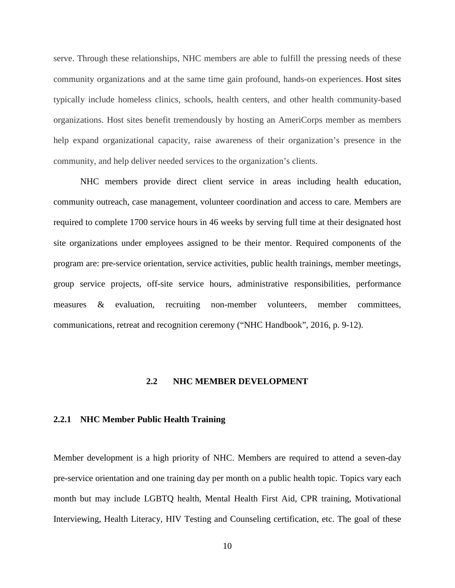serve. Through these relationships, NHC members are able to fulfill the pressing needs of these community organizations and at the same time gain profound, hands-on experiences. Host sites typically include homeless clinics, schools, health centers, and other health community-based organizations. Host sites benefit tremendously by hosting an AmeriCorps member as members help expand organizational capacity, raise awareness of their organization's presence in the community, and help deliver needed services to the organization's clients.

NHC members provide direct client service in areas including health education, community outreach, case management, volunteer coordination and access to care. Members are required to complete 1700 service hours in 46 weeks by serving full time at their designated host site organizations under employees assigned to be their mentor. Required components of the program are: pre-service orientation, service activities, public health trainings, member meetings, group service projects, off-site service hours, administrative responsibilities, performance measures & evaluation, recruiting non-member volunteers, member committees, communications, retreat and recognition ceremony ("NHC Handbook", 2016, p. 9-12).

#### **2.2 NHC MEMBER DEVELOPMENT**

#### <span id="page-18-1"></span><span id="page-18-0"></span>**2.2.1 NHC Member Public Health Training**

Member development is a high priority of NHC. Members are required to attend a seven-day pre-service orientation and one training day per month on a public health topic. Topics vary each month but may include LGBTQ health, Mental Health First Aid, CPR training, Motivational Interviewing, Health Literacy, HIV Testing and Counseling certification, etc. The goal of these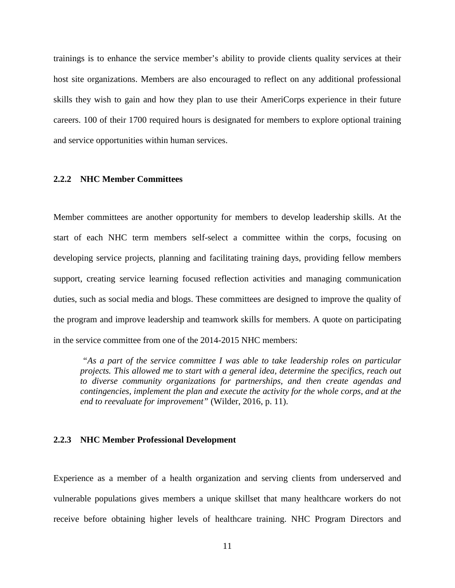trainings is to enhance the service member's ability to provide clients quality services at their host site organizations. Members are also encouraged to reflect on any additional professional skills they wish to gain and how they plan to use their AmeriCorps experience in their future careers. 100 of their 1700 required hours is designated for members to explore optional training and service opportunities within human services.

#### <span id="page-19-0"></span>**2.2.2 NHC Member Committees**

Member committees are another opportunity for members to develop leadership skills. At the start of each NHC term members self-select a committee within the corps, focusing on developing service projects, planning and facilitating training days, providing fellow members support, creating service learning focused reflection activities and managing communication duties, such as social media and blogs. These committees are designed to improve the quality of the program and improve leadership and teamwork skills for members. A quote on participating in the service committee from one of the 2014-2015 NHC members:

*"As a part of the service committee I was able to take leadership roles on particular projects. This allowed me to start with a general idea, determine the specifics, reach out to diverse community organizations for partnerships, and then create agendas and contingencies, implement the plan and execute the activity for the whole corps, and at the end to reevaluate for improvement"* (Wilder, 2016, p. 11).

#### <span id="page-19-1"></span>**2.2.3 NHC Member Professional Development**

Experience as a member of a health organization and serving clients from underserved and vulnerable populations gives members a unique skillset that many healthcare workers do not receive before obtaining higher levels of healthcare training. NHC Program Directors and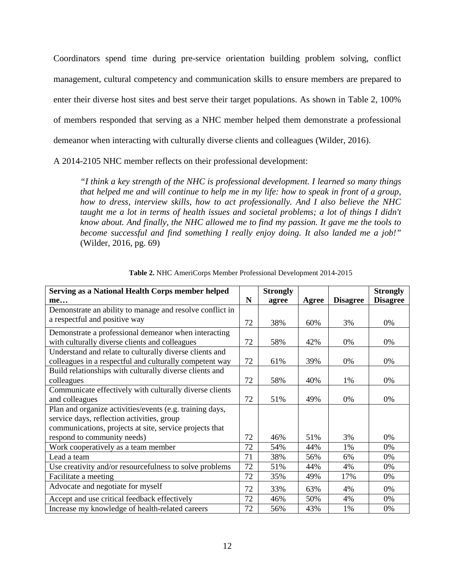Coordinators spend time during pre-service orientation building problem solving, conflict management, cultural competency and communication skills to ensure members are prepared to enter their diverse host sites and best serve their target populations. As shown in Table 2, 100% of members responded that serving as a NHC member helped them demonstrate a professional demeanor when interacting with culturally diverse clients and colleagues (Wilder, 2016).

A 2014-2105 NHC member reflects on their professional development:

*"I think a key strength of the NHC is professional development. I learned so many things that helped me and will continue to help me in my life: how to speak in front of a group, how to dress, interview skills, how to act professionally. And I also believe the NHC taught me a lot in terms of health issues and societal problems; a lot of things I didn't know about. And finally, the NHC allowed me to find my passion. It gave me the tools to become successful and find something I really enjoy doing. It also landed me a job!"*  (Wilder, 2016, pg. 69)

<span id="page-20-0"></span>

| Serving as a National Health Corps member helped         |             | <b>Strongly</b> |       |                 | <b>Strongly</b> |
|----------------------------------------------------------|-------------|-----------------|-------|-----------------|-----------------|
| me                                                       | $\mathbf N$ | agree           | Agree | <b>Disagree</b> | <b>Disagree</b> |
| Demonstrate an ability to manage and resolve conflict in |             |                 |       |                 |                 |
| a respectful and positive way                            | 72          | 38%             | 60%   | 3%              | 0%              |
| Demonstrate a professional demeanor when interacting     |             |                 |       |                 |                 |
| with culturally diverse clients and colleagues           | 72          | 58%             | 42%   | 0%              | 0%              |
| Understand and relate to culturally diverse clients and  |             |                 |       |                 |                 |
| colleagues in a respectful and culturally competent way  | 72          | 61%             | 39%   | 0%              | 0%              |
| Build relationships with culturally diverse clients and  |             |                 |       |                 |                 |
| colleagues                                               | 72          | 58%             | 40%   | 1%              | 0%              |
| Communicate effectively with culturally diverse clients  |             |                 |       |                 |                 |
| and colleagues                                           | 72          | 51%             | 49%   | 0%              | 0%              |
| Plan and organize activities/events (e.g. training days, |             |                 |       |                 |                 |
| service days, reflection activities, group               |             |                 |       |                 |                 |
| communications, projects at site, service projects that  |             |                 |       |                 |                 |
| respond to community needs)                              | 72          | 46%             | 51%   | 3%              | 0%              |
| Work cooperatively as a team member                      | 72          | 54%             | 44%   | 1%              | 0%              |
| Lead a team                                              | 71          | 38%             | 56%   | 6%              | 0%              |
| Use creativity and/or resourcefulness to solve problems  | 72          | 51%             | 44%   | 4%              | 0%              |
| Facilitate a meeting                                     | 72          | 35%             | 49%   | 17%             | 0%              |
| Advocate and negotiate for myself                        | 72          | 33%             | 63%   | 4%              | 0%              |
| Accept and use critical feedback effectively             | 72          | 46%             | 50%   | 4%              | 0%              |
| Increase my knowledge of health-related careers          | 72          | 56%             | 43%   | 1%              | 0%              |

**Table 2.** NHC AmeriCorps Member Professional Development 2014-2015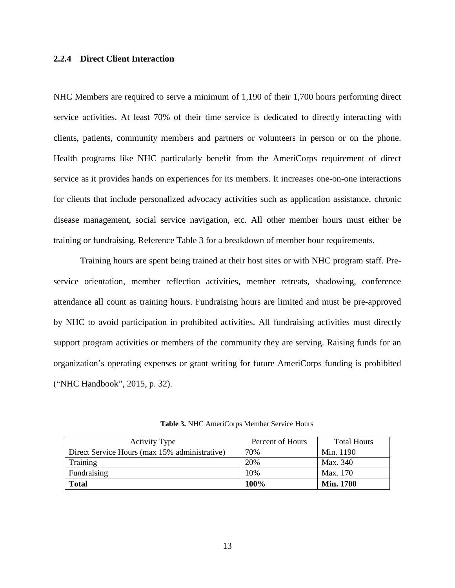#### <span id="page-21-0"></span>**2.2.4 Direct Client Interaction**

NHC Members are required to serve a minimum of 1,190 of their 1,700 hours performing direct service activities. At least 70% of their time service is dedicated to directly interacting with clients, patients, community members and partners or volunteers in person or on the phone. Health programs like NHC particularly benefit from the AmeriCorps requirement of direct service as it provides hands on experiences for its members. It increases one-on-one interactions for clients that include personalized advocacy activities such as application assistance, chronic disease management, social service navigation, etc. All other member hours must either be training or fundraising. Reference Table 3 for a breakdown of member hour requirements.

Training hours are spent being trained at their host sites or with NHC program staff. Preservice orientation, member reflection activities, member retreats, shadowing, conference attendance all count as training hours. Fundraising hours are limited and must be pre-approved by NHC to avoid participation in prohibited activities. All fundraising activities must directly support program activities or members of the community they are serving. Raising funds for an organization's operating expenses or grant writing for future AmeriCorps funding is prohibited ("NHC Handbook", 2015, p. 32).

<span id="page-21-1"></span>

| <b>Activity Type</b>                          | Percent of Hours | <b>Total Hours</b> |
|-----------------------------------------------|------------------|--------------------|
| Direct Service Hours (max 15% administrative) | 70%              | Min. 1190          |
| Training                                      | 20%              | Max. 340           |
| Fundraising                                   | 10%              | Max. 170           |
| <b>Total</b>                                  | <b>100%</b>      | <b>Min. 1700</b>   |

**Table 3.** NHC AmeriCorps Member Service Hours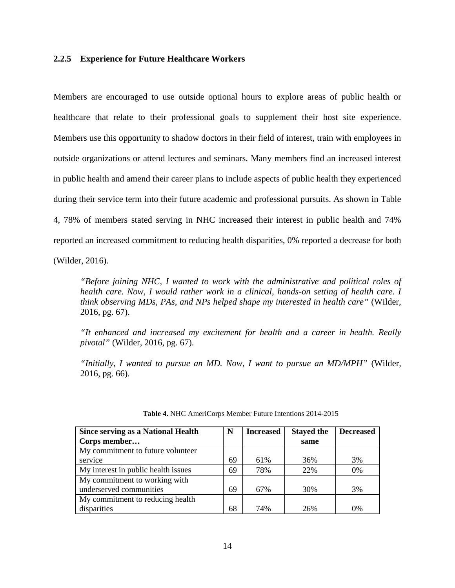#### <span id="page-22-0"></span>**2.2.5 Experience for Future Healthcare Workers**

Members are encouraged to use outside optional hours to explore areas of public health or healthcare that relate to their professional goals to supplement their host site experience. Members use this opportunity to shadow doctors in their field of interest, train with employees in outside organizations or attend lectures and seminars. Many members find an increased interest in public health and amend their career plans to include aspects of public health they experienced during their service term into their future academic and professional pursuits. As shown in Table 4, 78% of members stated serving in NHC increased their interest in public health and 74% reported an increased commitment to reducing health disparities, 0% reported a decrease for both

(Wilder, 2016).

*"Before joining NHC, I wanted to work with the administrative and political roles of health care. Now, I would rather work in a clinical, hands-on setting of health care. I think observing MDs, PAs, and NPs helped shape my interested in health care"* (Wilder, 2016, pg. 67).

*"It enhanced and increased my excitement for health and a career in health. Really pivotal"* (Wilder, 2016, pg. 67).

*"Initially, I wanted to pursue an MD. Now, I want to pursue an MD/MPH"* (Wilder, 2016, pg. 66)*.*

<span id="page-22-1"></span>

| <b>Since serving as a National Health</b> | N  | <b>Increased</b> | <b>Stayed the</b> | <b>Decreased</b> |
|-------------------------------------------|----|------------------|-------------------|------------------|
| Corps member                              |    |                  | same              |                  |
| My commitment to future volunteer         |    |                  |                   |                  |
| service                                   | 69 | 61%              | 36%               | 3%               |
| My interest in public health issues       | 69 | 78%              | 22%               | $0\%$            |
| My commitment to working with             |    |                  |                   |                  |
| underserved communities                   | 69 | 67%              | 30%               | 3%               |
| My commitment to reducing health          |    |                  |                   |                  |
| disparities                               |    | 74%              | 26%               | 0%               |

**Table 4.** NHC AmeriCorps Member Future Intentions 2014-2015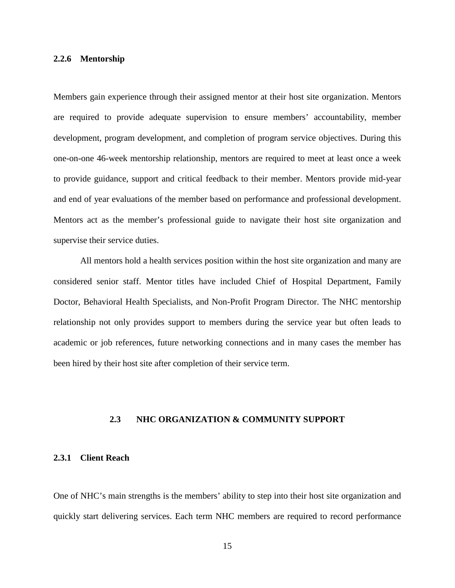#### <span id="page-23-0"></span>**2.2.6 Mentorship**

Members gain experience through their assigned mentor at their host site organization. Mentors are required to provide adequate supervision to ensure members' accountability, member development, program development, and completion of program service objectives. During this one-on-one 46-week mentorship relationship, mentors are required to meet at least once a week to provide guidance, support and critical feedback to their member. Mentors provide mid-year and end of year evaluations of the member based on performance and professional development. Mentors act as the member's professional guide to navigate their host site organization and supervise their service duties.

All mentors hold a health services position within the host site organization and many are considered senior staff. Mentor titles have included Chief of Hospital Department, Family Doctor, Behavioral Health Specialists, and Non-Profit Program Director. The NHC mentorship relationship not only provides support to members during the service year but often leads to academic or job references, future networking connections and in many cases the member has been hired by their host site after completion of their service term.

#### <span id="page-23-1"></span>**2.3 NHC ORGANIZATION & COMMUNITY SUPPORT**

### <span id="page-23-2"></span>**2.3.1 Client Reach**

One of NHC's main strengths is the members' ability to step into their host site organization and quickly start delivering services. Each term NHC members are required to record performance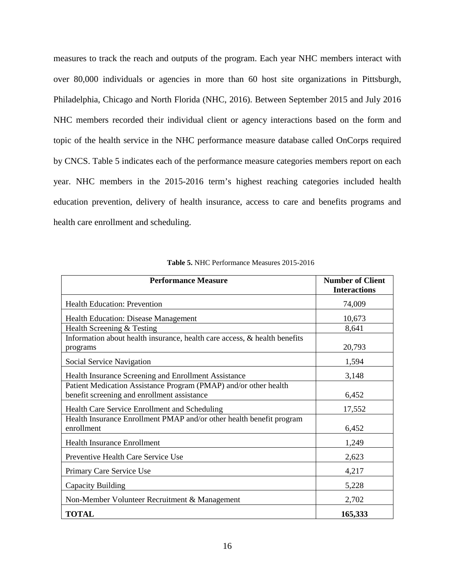measures to track the reach and outputs of the program. Each year NHC members interact with over 80,000 individuals or agencies in more than 60 host site organizations in Pittsburgh, Philadelphia, Chicago and North Florida (NHC, 2016). Between September 2015 and July 2016 NHC members recorded their individual client or agency interactions based on the form and topic of the health service in the NHC performance measure database called OnCorps required by CNCS. Table 5 indicates each of the performance measure categories members report on each year. NHC members in the 2015-2016 term's highest reaching categories included health education prevention, delivery of health insurance, access to care and benefits programs and health care enrollment and scheduling.

<span id="page-24-0"></span>

| <b>Performance Measure</b>                                                                                      | <b>Number of Client</b><br><b>Interactions</b> |
|-----------------------------------------------------------------------------------------------------------------|------------------------------------------------|
| <b>Health Education: Prevention</b>                                                                             | 74,009                                         |
| <b>Health Education: Disease Management</b>                                                                     | 10,673                                         |
| Health Screening & Testing                                                                                      | 8,641                                          |
| Information about health insurance, health care access, & health benefits<br>programs                           | 20,793                                         |
| Social Service Navigation                                                                                       | 1,594                                          |
| Health Insurance Screening and Enrollment Assistance                                                            | 3,148                                          |
| Patient Medication Assistance Program (PMAP) and/or other health<br>benefit screening and enrollment assistance | 6,452                                          |
| Health Care Service Enrollment and Scheduling                                                                   | 17,552                                         |
| Health Insurance Enrollment PMAP and/or other health benefit program<br>enrollment                              | 6,452                                          |
| <b>Health Insurance Enrollment</b>                                                                              | 1,249                                          |
| Preventive Health Care Service Use                                                                              | 2,623                                          |
| Primary Care Service Use                                                                                        | 4,217                                          |
| Capacity Building                                                                                               | 5,228                                          |
| Non-Member Volunteer Recruitment & Management                                                                   | 2,702                                          |
| <b>TOTAL</b>                                                                                                    | 165,333                                        |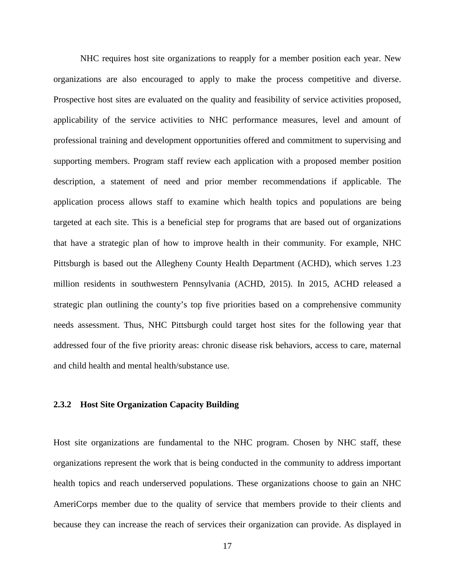NHC requires host site organizations to reapply for a member position each year. New organizations are also encouraged to apply to make the process competitive and diverse. Prospective host sites are evaluated on the quality and feasibility of service activities proposed, applicability of the service activities to NHC performance measures, level and amount of professional training and development opportunities offered and commitment to supervising and supporting members. Program staff review each application with a proposed member position description, a statement of need and prior member recommendations if applicable. The application process allows staff to examine which health topics and populations are being targeted at each site. This is a beneficial step for programs that are based out of organizations that have a strategic plan of how to improve health in their community. For example, NHC Pittsburgh is based out the Allegheny County Health Department (ACHD), which serves 1.23 million residents in southwestern Pennsylvania (ACHD, 2015). In 2015, ACHD released a strategic plan outlining the county's top five priorities based on a comprehensive community needs assessment. Thus, NHC Pittsburgh could target host sites for the following year that addressed four of the five priority areas: chronic disease risk behaviors, access to care, maternal and child health and mental health/substance use.

#### <span id="page-25-0"></span>**2.3.2 Host Site Organization Capacity Building**

Host site organizations are fundamental to the NHC program. Chosen by NHC staff, these organizations represent the work that is being conducted in the community to address important health topics and reach underserved populations. These organizations choose to gain an NHC AmeriCorps member due to the quality of service that members provide to their clients and because they can increase the reach of services their organization can provide. As displayed in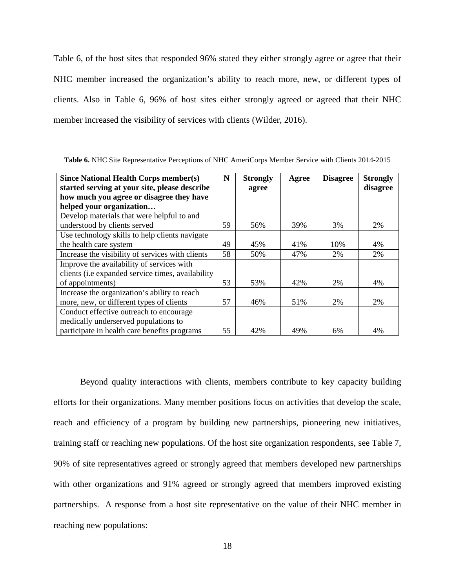Table 6, of the host sites that responded 96% stated they either strongly agree or agree that their NHC member increased the organization's ability to reach more, new, or different types of clients. Also in Table 6, 96% of host sites either strongly agreed or agreed that their NHC member increased the visibility of services with clients (Wilder, 2016).

| Since National Health Corps member(s)             | N  | <b>Strongly</b> | Agree | <b>Disagree</b> | <b>Strongly</b> |
|---------------------------------------------------|----|-----------------|-------|-----------------|-----------------|
| started serving at your site, please describe     |    | agree           |       |                 | disagree        |
| how much you agree or disagree they have          |    |                 |       |                 |                 |
| helped your organization                          |    |                 |       |                 |                 |
| Develop materials that were helpful to and        |    |                 |       |                 |                 |
| understood by clients served                      | 59 | 56%             | 39%   | 3%              | 2%              |
| Use technology skills to help clients navigate    |    |                 |       |                 |                 |
| the health care system                            | 49 | 45%             | 41%   | 10%             | 4%              |
| Increase the visibility of services with clients  | 58 | 50%             | 47%   | 2%              | 2%              |
| Improve the availability of services with         |    |                 |       |                 |                 |
| clients (i.e expanded service times, availability |    |                 |       |                 |                 |
| of appointments)                                  | 53 | 53%             | 42%   | 2%              | 4%              |
| Increase the organization's ability to reach      |    |                 |       |                 |                 |
| more, new, or different types of clients          | 57 | 46%             | 51%   | 2%              | 2%              |
| Conduct effective outreach to encourage           |    |                 |       |                 |                 |
| medically underserved populations to              |    |                 |       |                 |                 |
| participate in health care benefits programs      | 55 | 42%             | 49%   | 6%              | 4%              |

<span id="page-26-0"></span>**Table 6.** NHC Site Representative Perceptions of NHC AmeriCorps Member Service with Clients 2014-2015

Beyond quality interactions with clients, members contribute to key capacity building efforts for their organizations. Many member positions focus on activities that develop the scale, reach and efficiency of a program by building new partnerships, pioneering new initiatives, training staff or reaching new populations. Of the host site organization respondents, see Table 7, 90% of site representatives agreed or strongly agreed that members developed new partnerships with other organizations and 91% agreed or strongly agreed that members improved existing partnerships. A response from a host site representative on the value of their NHC member in reaching new populations: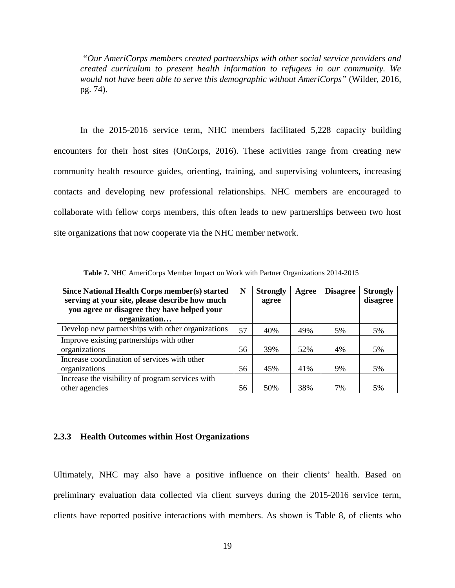*"Our AmeriCorps members created partnerships with other social service providers and created curriculum to present health information to refugees in our community. We would not have been able to serve this demographic without AmeriCorps"* (Wilder, 2016, pg. 74).

In the 2015-2016 service term, NHC members facilitated 5,228 capacity building encounters for their host sites (OnCorps, 2016). These activities range from creating new community health resource guides, orienting, training, and supervising volunteers, increasing contacts and developing new professional relationships. NHC members are encouraged to collaborate with fellow corps members, this often leads to new partnerships between two host site organizations that now cooperate via the NHC member network.

<span id="page-27-1"></span>

| Since National Health Corps member(s) started     | N  | <b>Strongly</b> | Agree | <b>Disagree</b> | <b>Strongly</b> |
|---------------------------------------------------|----|-----------------|-------|-----------------|-----------------|
| serving at your site, please describe how much    |    | agree           |       |                 | disagree        |
| you agree or disagree they have helped your       |    |                 |       |                 |                 |
| organization                                      |    |                 |       |                 |                 |
| Develop new partnerships with other organizations | 57 | 40%             | 49%   | 5%              | 5%              |
| Improve existing partnerships with other          |    |                 |       |                 |                 |
| organizations                                     | 56 | 39%             | 52%   | 4%              | 5%              |
| Increase coordination of services with other      |    |                 |       |                 |                 |
| organizations                                     | 56 | 45%             | 41%   | 9%              | 5%              |
| Increase the visibility of program services with  |    |                 |       |                 |                 |
| other agencies                                    | 56 | 50%             | 38%   | 7%              | 5%              |

**Table 7.** NHC AmeriCorps Member Impact on Work with Partner Organizations 2014-2015

#### <span id="page-27-0"></span>**2.3.3 Health Outcomes within Host Organizations**

Ultimately, NHC may also have a positive influence on their clients' health. Based on preliminary evaluation data collected via client surveys during the 2015-2016 service term, clients have reported positive interactions with members. As shown is Table 8, of clients who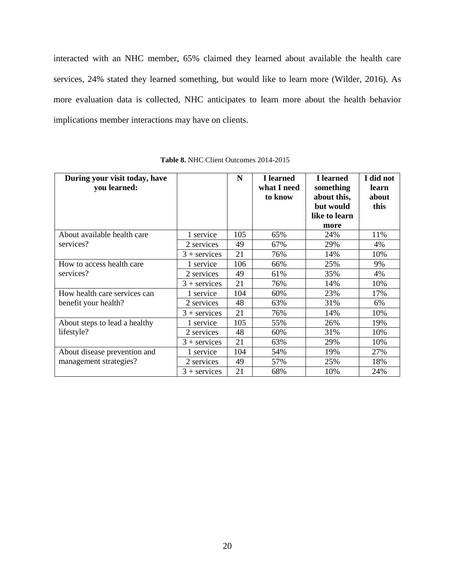interacted with an NHC member, 65% claimed they learned about available the health care services, 24% stated they learned something, but would like to learn more (Wilder, 2016). As more evaluation data is collected, NHC anticipates to learn more about the health behavior implications member interactions may have on clients.

<span id="page-28-0"></span>

| During your visit today, have                        |                | N   | I learned   | I learned     | I did not |
|------------------------------------------------------|----------------|-----|-------------|---------------|-----------|
| you learned:                                         |                |     | what I need | something     | learn     |
|                                                      |                |     | to know     | about this,   | about     |
|                                                      |                |     |             | but would     | this      |
|                                                      |                |     |             | like to learn |           |
|                                                      |                |     |             | more          |           |
| About available health care<br>services?             | 1 service      | 105 | 65%         | 24%           | 11%       |
|                                                      | 2 services     | 49  | 67%         | 29%           | 4%        |
|                                                      | $3 +$ services | 21  | 76%         | 14%           | 10%       |
| How to access health care<br>services?               | 1 service      | 106 | 66%         | 25%           | 9%        |
|                                                      | 2 services     | 49  | 61%         | 35%           | 4%        |
|                                                      | $3 +$ services | 21  | 76%         | 14%           | 10%       |
| How health care services can<br>benefit your health? | 1 service      | 104 | 60%         | 23%           | 17%       |
|                                                      | 2 services     | 48  | 63%         | 31%           | 6%        |
|                                                      | $3 +$ services | 21  | 76%         | 14%           | 10%       |
| About steps to lead a healthy<br>lifestyle?          | 1 service      | 105 | 55%         | 26%           | 19%       |
|                                                      | 2 services     | 48  | 60%         | 31%           | 10%       |
|                                                      | $3 +$ services | 21  | 63%         | 29%           | 10%       |
| About disease prevention and                         | 1 service      | 104 | 54%         | 19%           | 27%       |
| management strategies?                               | 2 services     | 49  | 57%         | 25%           | 18%       |
|                                                      | $3 +$ services | 21  | 68%         | 10%           | 24%       |

**Table 8.** NHC Client Outcomes 2014-2015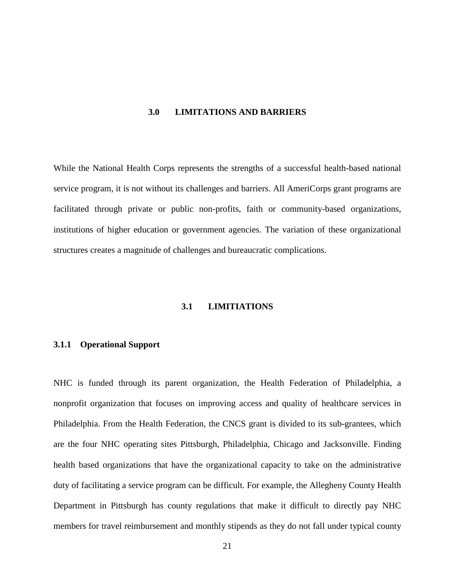#### <span id="page-29-0"></span>**3.0 LIMITATIONS AND BARRIERS**

While the National Health Corps represents the strengths of a successful health-based national service program, it is not without its challenges and barriers. All AmeriCorps grant programs are facilitated through private or public non-profits, faith or community-based organizations, institutions of higher education or government agencies. The variation of these organizational structures creates a magnitude of challenges and bureaucratic complications.

### **3.1 LIMITIATIONS**

#### <span id="page-29-2"></span><span id="page-29-1"></span>**3.1.1 Operational Support**

NHC is funded through its parent organization, the Health Federation of Philadelphia, a nonprofit organization that focuses on improving access and quality of healthcare services in Philadelphia. From the Health Federation, the CNCS grant is divided to its sub-grantees, which are the four NHC operating sites Pittsburgh, Philadelphia, Chicago and Jacksonville. Finding health based organizations that have the organizational capacity to take on the administrative duty of facilitating a service program can be difficult. For example, the Allegheny County Health Department in Pittsburgh has county regulations that make it difficult to directly pay NHC members for travel reimbursement and monthly stipends as they do not fall under typical county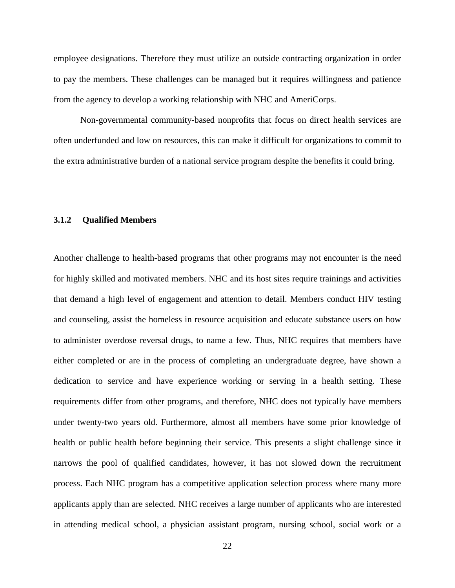employee designations. Therefore they must utilize an outside contracting organization in order to pay the members. These challenges can be managed but it requires willingness and patience from the agency to develop a working relationship with NHC and AmeriCorps.

Non-governmental community-based nonprofits that focus on direct health services are often underfunded and low on resources, this can make it difficult for organizations to commit to the extra administrative burden of a national service program despite the benefits it could bring.

#### <span id="page-30-0"></span>**3.1.2 Qualified Members**

Another challenge to health-based programs that other programs may not encounter is the need for highly skilled and motivated members. NHC and its host sites require trainings and activities that demand a high level of engagement and attention to detail. Members conduct HIV testing and counseling, assist the homeless in resource acquisition and educate substance users on how to administer overdose reversal drugs, to name a few. Thus, NHC requires that members have either completed or are in the process of completing an undergraduate degree, have shown a dedication to service and have experience working or serving in a health setting. These requirements differ from other programs, and therefore, NHC does not typically have members under twenty-two years old. Furthermore, almost all members have some prior knowledge of health or public health before beginning their service. This presents a slight challenge since it narrows the pool of qualified candidates, however, it has not slowed down the recruitment process. Each NHC program has a competitive application selection process where many more applicants apply than are selected. NHC receives a large number of applicants who are interested in attending medical school, a physician assistant program, nursing school, social work or a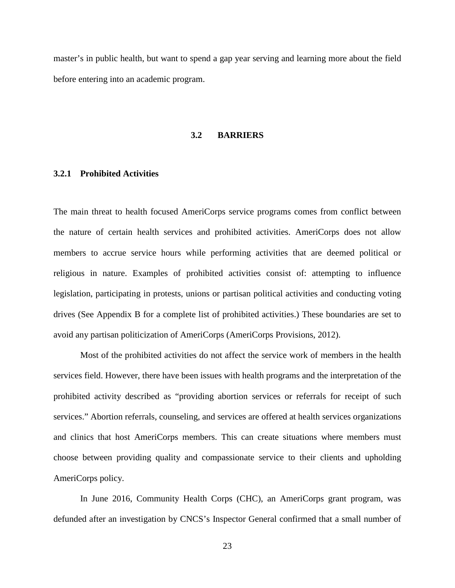<span id="page-31-0"></span>master's in public health, but want to spend a gap year serving and learning more about the field before entering into an academic program.

#### **3.2 BARRIERS**

#### <span id="page-31-1"></span>**3.2.1 Prohibited Activities**

The main threat to health focused AmeriCorps service programs comes from conflict between the nature of certain health services and prohibited activities. AmeriCorps does not allow members to accrue service hours while performing activities that are deemed political or religious in nature. Examples of prohibited activities consist of: attempting to influence legislation, participating in protests, unions or partisan political activities and conducting voting drives (See Appendix B for a complete list of prohibited activities.) These boundaries are set to avoid any partisan politicization of AmeriCorps (AmeriCorps Provisions, 2012).

Most of the prohibited activities do not affect the service work of members in the health services field. However, there have been issues with health programs and the interpretation of the prohibited activity described as "providing abortion services or referrals for receipt of such services." Abortion referrals, counseling, and services are offered at health services organizations and clinics that host AmeriCorps members. This can create situations where members must choose between providing quality and compassionate service to their clients and upholding AmeriCorps policy.

In June 2016, Community Health Corps (CHC), an AmeriCorps grant program, was defunded after an investigation by CNCS's Inspector General confirmed that a small number of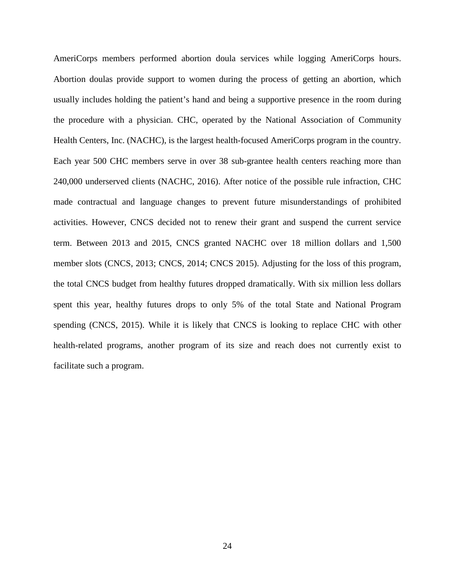AmeriCorps members performed abortion doula services while logging AmeriCorps hours. Abortion doulas provide support to women during the process of getting an abortion, which usually includes holding the patient's hand and being a supportive presence in the room during the procedure with a physician. CHC, operated by the National Association of Community Health Centers, Inc. (NACHC), is the largest health-focused AmeriCorps program in the country. Each year 500 CHC members serve in over 38 sub-grantee health centers reaching more than 240,000 underserved clients (NACHC, 2016). After notice of the possible rule infraction, CHC made contractual and language changes to prevent future misunderstandings of prohibited activities. However, CNCS decided not to renew their grant and suspend the current service term. Between 2013 and 2015, CNCS granted NACHC over 18 million dollars and 1,500 member slots (CNCS, 2013; CNCS, 2014; CNCS 2015). Adjusting for the loss of this program, the total CNCS budget from healthy futures dropped dramatically. With six million less dollars spent this year, healthy futures drops to only 5% of the total State and National Program spending (CNCS, 2015). While it is likely that CNCS is looking to replace CHC with other health-related programs, another program of its size and reach does not currently exist to facilitate such a program.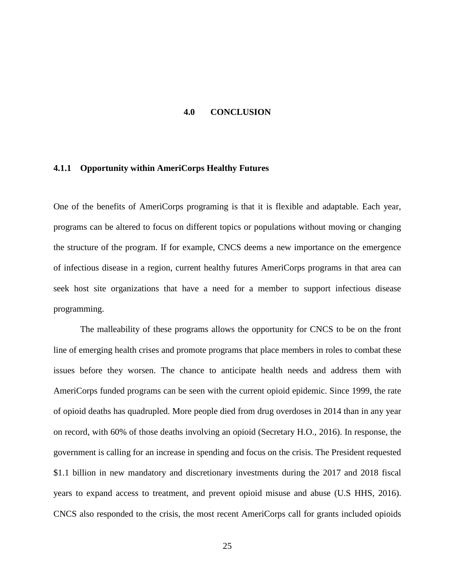#### **4.0 CONCLUSION**

#### <span id="page-33-1"></span><span id="page-33-0"></span>**4.1.1 Opportunity within AmeriCorps Healthy Futures**

One of the benefits of AmeriCorps programing is that it is flexible and adaptable. Each year, programs can be altered to focus on different topics or populations without moving or changing the structure of the program. If for example, CNCS deems a new importance on the emergence of infectious disease in a region, current healthy futures AmeriCorps programs in that area can seek host site organizations that have a need for a member to support infectious disease programming.

The malleability of these programs allows the opportunity for CNCS to be on the front line of emerging health crises and promote programs that place members in roles to combat these issues before they worsen. The chance to anticipate health needs and address them with AmeriCorps funded programs can be seen with the current opioid epidemic. Since 1999, the rate of opioid deaths has quadrupled. More people died from drug overdoses in 2014 than in any year on record, with 60% of those deaths involving an opioid (Secretary H.O., 2016). In response, the government is calling for an increase in spending and focus on the crisis. The President requested \$1.1 billion in new mandatory and discretionary investments during the 2017 and 2018 fiscal years to expand access to treatment, and prevent opioid misuse and abuse (U.S HHS, 2016). CNCS also responded to the crisis, the most recent AmeriCorps call for grants included opioids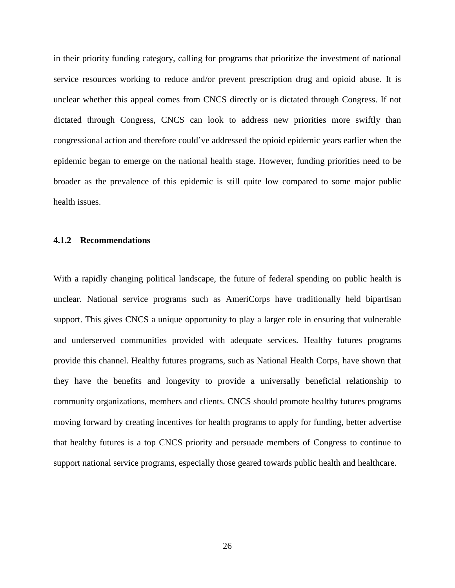in their priority funding category, calling for programs that prioritize the investment of national service resources working to reduce and/or prevent prescription drug and opioid abuse. It is unclear whether this appeal comes from CNCS directly or is dictated through Congress. If not dictated through Congress, CNCS can look to address new priorities more swiftly than congressional action and therefore could've addressed the opioid epidemic years earlier when the epidemic began to emerge on the national health stage. However, funding priorities need to be broader as the prevalence of this epidemic is still quite low compared to some major public health issues.

#### <span id="page-34-0"></span>**4.1.2 Recommendations**

With a rapidly changing political landscape, the future of federal spending on public health is unclear. National service programs such as AmeriCorps have traditionally held bipartisan support. This gives CNCS a unique opportunity to play a larger role in ensuring that vulnerable and underserved communities provided with adequate services. Healthy futures programs provide this channel. Healthy futures programs, such as National Health Corps, have shown that they have the benefits and longevity to provide a universally beneficial relationship to community organizations, members and clients. CNCS should promote healthy futures programs moving forward by creating incentives for health programs to apply for funding, better advertise that healthy futures is a top CNCS priority and persuade members of Congress to continue to support national service programs, especially those geared towards public health and healthcare.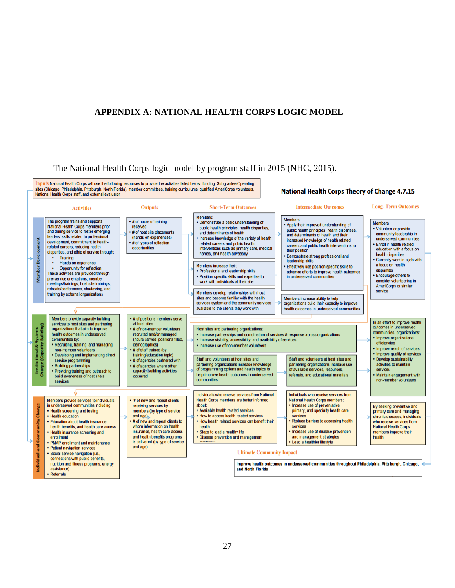# <span id="page-35-0"></span>**APPENDIX A: NATIONAL HEALTH CORPS LOGIC MODEL**

The National Health Corps logic model by program staff in 2015 (NHC, 2015).

Inputs National Health Corps will use the following resources to provide the activities listed below: funding, Subgrantee/Operating<br>sites (Chicago, Philadelphia, Pittsburgh, North Florida), member committees, training curr **National Health Corps Theory of Change 4.7.15** National Health Corps staff, and external evaluator **Intermediate Outcomes Long-Term Outcomes Outputs Short-Term Outcomes Activities** Members: Members: The program trains and supports • # of hours of training • Demonstrate a basic understanding of Members: • Apply their improved understanding of National Health Corps members prior<br>and during service to foster emerging received public health principles, health disparities. • Volunteer or provide public health principles, health disparities, . # of host site placements and determinants of health community leadership in and determinants of health and their leaders' skills related to professional (hands on experiences) underserved communities Increase knowledge of the variety of health increased knowledge of health related<br>careers and public health interventions to development, commitment to health-# of types of reflection related careers and public health . Enroll in health related related careers, reducing health opportunities interventions such as primary care, medical education with a focus on their position disparities, and ethic of service through homes, and health advocacy health disparities Demonstrate strong professional and Training  $\bullet$ • Currently work in a job with<br>a focus on health leadership skills ۿ Hands on experience Members increase their Effectively use position specific skills to Opportunity for reflection  $\bullet$ disparities • Professional and leadership skills advance efforts to improve health outcomes<br>in underserved communities These activities are provided through · Position specific skills and expertise to • Encourage others to š pre-service orientations, member consider volunteering in work with individuals at their site meetings/trainings, host site trainings AmeriCorps or similar retreats/conferences, shadowing, and service Members develop relationships with host training by external organizations sites and become familiar with the health Members increase ability to help services system and the communtiy services organizations build their capacity to improve available to the clients they work with health outcomes in underserved communities Members provide capacity building . # of positions members serve In an effort to improve health at host sites services to host sites and partnering outcomes in underserved organizations that aim to improve # of non-member volunteers Host sites and partnering organizations: nstitutional & Systems<br>ange (Capacity Buildin communities, organizations: • Increase partnerships and coordination of services & response across organizations • Increase visibility, accessibility, and availability of services health outcomes in underserved recruited and/or managed (hours served, positions filled, · Improve organizational communities by: efficiencies • Recruiting, training, and managing demographics) · Increase use of non-member volunteers • Improve reach of services non-member volunteers . # of staff trained (by

• Developing and implementing direct · Improve quality of services training/education topic) Staff and volunteers at host sites and Staff and volunteers at host sites and · Develop sustainability # of agencies partnered with service programming partnering organizations increase knowledge partnering organizations increase use activities to maintain · Building partnerships . # of agencies where other of programming options and health topics to<br>help improve health outcomes in underserved of available services, resources services • Providing training and outreach to<br>build awareness of host site's capacity building activities referrals, and educational materials Maintain engagement with occurred communities non-member volunteers services Individuals who receive services from National Individuals who receive services from Members provide services to individuals **Health Corps members are better informed** National Health Corps members: # of new and repeat clients in underserved communities including: receiving services by about · Increase use of preventative, By seeking preventive and Change • Health screening and testing members (by type of service • Available health related services primary, and specialty health care primary care and managing • How to access health related services • Health education and age)<br># of new and repeat clients to services chronic diseases, individuals Reduce barriers to accessing health è • Education about health insurance, • How health related services can benefit their who receive services from **National Health Corps** health benefits, and health care access whom information on health health services insurance, health care access · Increase use of disease prevention . Steps to lead a healthy life • Health insurance screening and members improve their and health benefits programs · Disease prevention and management and management strategies health enrollment · Lead a healthier lifestyle • PMAP enrollment and maintenance is delivered (by type of service P and age) • Patient navigation services **Ultimate Community Impact** · Social service navigation (i.e. connections with public benefits,

nutrition and fitness programs, energy assistance) Referrals

Improve health outcomes in underserved communities throughout Philadelphia, Pittsburgh, Chicago, and North Florida

#### 27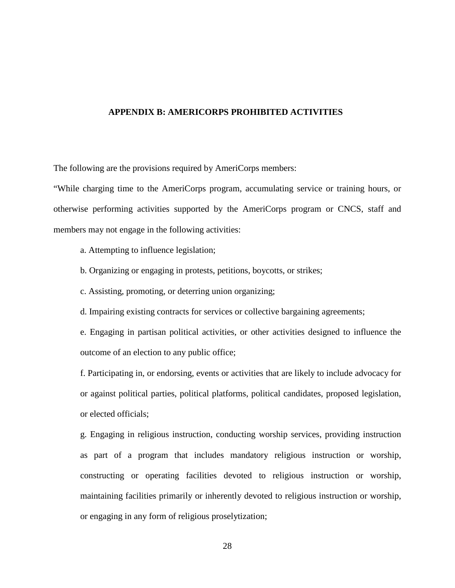#### <span id="page-36-0"></span>**APPENDIX B: AMERICORPS PROHIBITED ACTIVITIES**

The following are the provisions required by AmeriCorps members:

"While charging time to the AmeriCorps program, accumulating service or training hours, or otherwise performing activities supported by the AmeriCorps program or CNCS, staff and members may not engage in the following activities:

- a. Attempting to influence legislation;
- b. Organizing or engaging in protests, petitions, boycotts, or strikes;
- c. Assisting, promoting, or deterring union organizing;
- d. Impairing existing contracts for services or collective bargaining agreements;

e. Engaging in partisan political activities, or other activities designed to influence the outcome of an election to any public office;

f. Participating in, or endorsing, events or activities that are likely to include advocacy for or against political parties, political platforms, political candidates, proposed legislation, or elected officials;

g. Engaging in religious instruction, conducting worship services, providing instruction as part of a program that includes mandatory religious instruction or worship, constructing or operating facilities devoted to religious instruction or worship, maintaining facilities primarily or inherently devoted to religious instruction or worship, or engaging in any form of religious proselytization;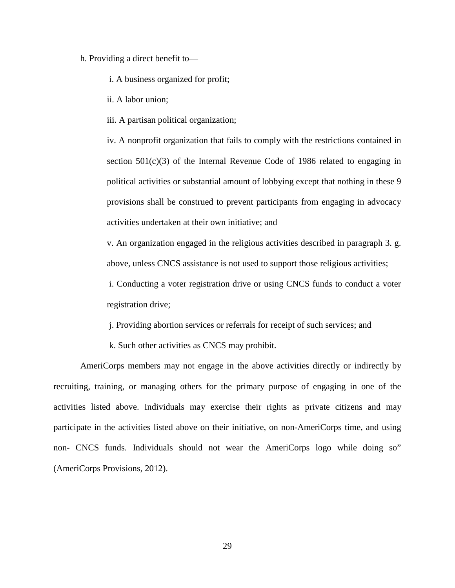#### h. Providing a direct benefit to—

i. A business organized for profit;

ii. A labor union;

iii. A partisan political organization;

iv. A nonprofit organization that fails to comply with the restrictions contained in section  $501(c)(3)$  of the Internal Revenue Code of 1986 related to engaging in political activities or substantial amount of lobbying except that nothing in these 9 provisions shall be construed to prevent participants from engaging in advocacy activities undertaken at their own initiative; and

v. An organization engaged in the religious activities described in paragraph 3. g. above, unless CNCS assistance is not used to support those religious activities;

i. Conducting a voter registration drive or using CNCS funds to conduct a voter registration drive;

j. Providing abortion services or referrals for receipt of such services; and

k. Such other activities as CNCS may prohibit.

AmeriCorps members may not engage in the above activities directly or indirectly by recruiting, training, or managing others for the primary purpose of engaging in one of the activities listed above. Individuals may exercise their rights as private citizens and may participate in the activities listed above on their initiative, on non-AmeriCorps time, and using non- CNCS funds. Individuals should not wear the AmeriCorps logo while doing so" (AmeriCorps Provisions, 2012).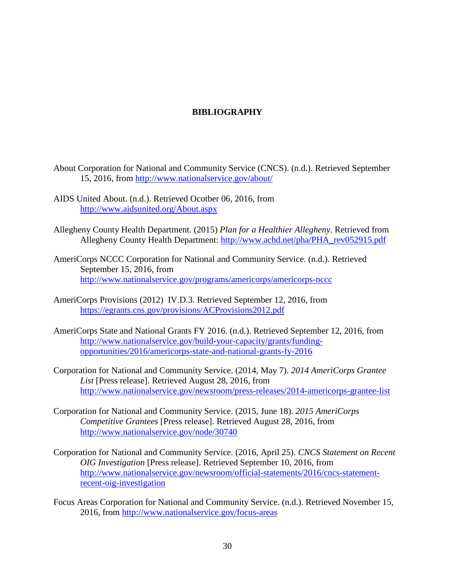# **BIBLIOGRAPHY**

- <span id="page-38-0"></span>About Corporation for National and Community Service (CNCS). (n.d.). Retrieved September 15, 2016, from<http://www.nationalservice.gov/about/>
- AIDS United About. (n.d.). Retrieved Ocotber 06, 2016, from <http://www.aidsunited.org/About.aspx>
- Allegheny County Health Department. (2015) *Plan for a Healthier Allegheny.* Retrieved from Allegheny County Health Department: [http://www.achd.net/pha/PHA\\_rev052915.pdf](http://www.achd.net/pha/PHA_rev052915.pdf)
- AmeriCorps NCCC Corporation for National and Community Service. (n.d.). Retrieved September 15, 2016, from <http://www.nationalservice.gov/programs/americorps/americorps-nccc>
- AmeriCorps Provisions (2012) IV.D.3. Retrieved September 12, 2016, from <https://egrants.cns.gov/provisions/ACProvisions2012.pdf>
- AmeriCorps State and National Grants FY 2016. (n.d.). Retrieved September 12, 2016, from [http://www.nationalservice.gov/build-your-capacity/grants/funding](http://www.nationalservice.gov/build-your-capacity/grants/funding-opportunities/2016/americorps-state-and-national-grants-fy-2016)[opportunities/2016/americorps-state-and-national-grants-fy-2016](http://www.nationalservice.gov/build-your-capacity/grants/funding-opportunities/2016/americorps-state-and-national-grants-fy-2016)
- Corporation for National and Community Service. (2014, May 7). *2014 AmeriCorps Grantee List* [Press release]. Retrieved August 28, 2016, from <http://www.nationalservice.gov/newsroom/press-releases/2014-americorps-grantee-list>
- Corporation for National and Community Service. (2015, June 18). *2015 AmeriCorps Competitive Grantees* [Press release]. Retrieved August 28, 2016, from <http://www.nationalservice.gov/node/30740>
- Corporation for National and Community Service. (2016, April 25). *CNCS Statement on Recent OIG Investigation* [Press release]. Retrieved September 10, 2016, from [http://www.nationalservice.gov/newsroom/official-statements/2016/cncs-statement](http://www.nationalservice.gov/newsroom/official-statements/2016/cncs-statement-recent-oig-investigation)[recent-oig-investigation](http://www.nationalservice.gov/newsroom/official-statements/2016/cncs-statement-recent-oig-investigation)
- Focus Areas Corporation for National and Community Service. (n.d.). Retrieved November 15, 2016, from<http://www.nationalservice.gov/focus-areas>